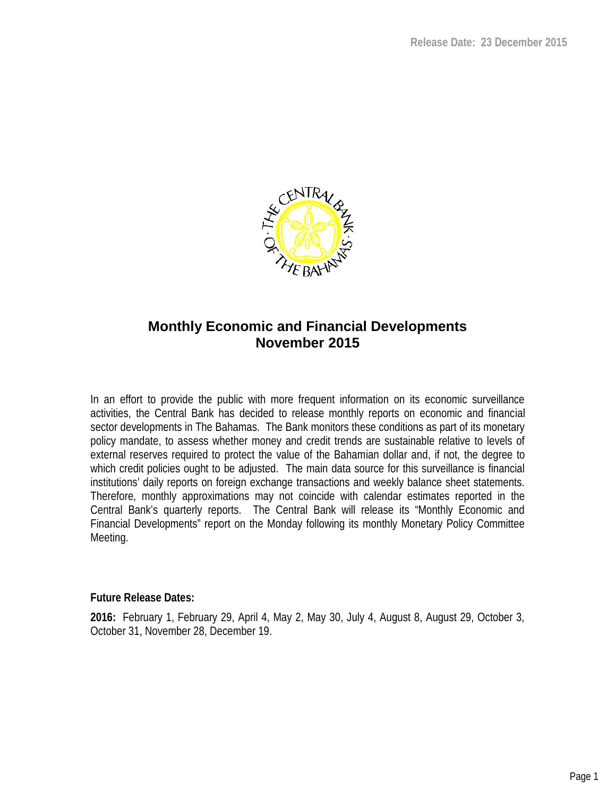

# **Monthly Economic and Financial Developments November 2015**

In an effort to provide the public with more frequent information on its economic surveillance activities, the Central Bank has decided to release monthly reports on economic and financial sector developments in The Bahamas. The Bank monitors these conditions as part of its monetary policy mandate, to assess whether money and credit trends are sustainable relative to levels of external reserves required to protect the value of the Bahamian dollar and, if not, the degree to which credit policies ought to be adjusted. The main data source for this surveillance is financial institutions' daily reports on foreign exchange transactions and weekly balance sheet statements. Therefore, monthly approximations may not coincide with calendar estimates reported in the Central Bank's quarterly reports. The Central Bank will release its "Monthly Economic and Financial Developments" report on the Monday following its monthly Monetary Policy Committee Meeting.

**Future Release Dates:**

**2016:** February 1, February 29, April 4, May 2, May 30, July 4, August 8, August 29, October 3, October 31, November 28, December 19.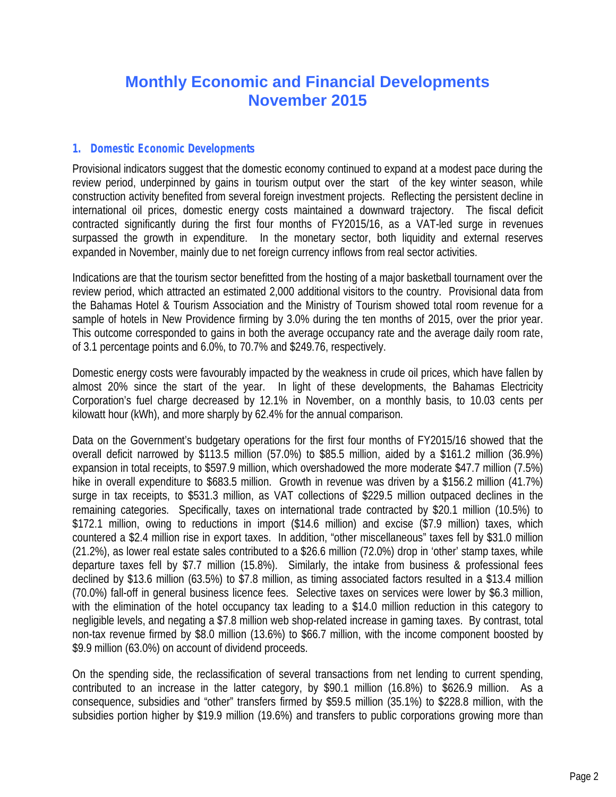# **Monthly Economic and Financial Developments November 2015**

### *1. Domestic Economic Developments*

Provisional indicators suggest that the domestic economy continued to expand at a modest pace during the 1. Domestic Economic Developments<br>Provisional indicators suggest that the domestic economy continued to expand at a modest pace during the<br>review period, underpinned by gains in tourism output over the start of the key win 1. Domestic Economic Developments<br>Provisional indicators suggest that the domestic economy continued to expand at a modest pace during the<br>review period, underpinned by gains in tourism output over the start of the key win 1. Domestic Economic Developments<br>Provisional indicators suggest that the domestic economy continued to expand at a modest pace during the<br>review period, underpinned by gains in tourism output over the start of the key win Provisional indicators suggest that the domestic economy continued to expand at a modest pace during the review period, underpinned by gains in tourism output over the start of the key winter season, while construction act Provisional indicators suggest that the domestic economy continued to expand at a modest pace during the review period, underpinned by gains in tourism output over the start of the key winter season, while construction act construction activity benefited from several foreign investment projects. Reflecting the persistent decline in<br>international oil prices, domestic energy costs maintained a downward trajectory. The fiscal deficit<br>contracted

Indications are that the tourism sector benefitted from the hosting of a major basketball tournament over the review period, which attracted an estimated 2,000 additional visitors to the country. Provisional data from the Bahamas Hotel & Tourism Association and the Ministry of Tourism showed total room revenue for a sample of hotels in New Providence firming by 3.0% during the ten months of 2015, over the prior year. This outcome corresponded to gains in both the average occupancy rate and the average daily room rate, of 3.1 percentage points and 6.0%, to 70.7% and \$249.76, respectively.

Domestic energy costs were favourably impacted by the weakness in crude oil prices, which have fallen by almost 20% since the start of the year. In light of these developments, the Bahamas Electricity Corporation's fuel charge decreased by 12.1% in November, on a monthly basis, to 10.03 cents per kilowatt hour (kWh), and more sharply by 62.4% for the annual comparison.

Data on the Government's budgetary operations for the first four months of FY2015/16 showed that the overall deficit narrowed by \$113.5 million (57.0%) to \$85.5 million, aided by a \$161.2 million (36.9%) expansion in total receipts, to \$597.9 million, which overshadowed the more moderate \$47.7 million (7.5%) hike in overall expenditure to \$683.5 million. Growth in revenue was driven by a \$156.2 million (41.7%) surge in tax receipts, to \$531.3 million, as VAT collections of \$229.5 million outpaced declines in the remaining categories. Specifically, taxes on international trade contracted by \$20.1 million (10.5%) to \$172.1 million, owing to reductions in import (\$14.6 million) and excise (\$7.9 million) taxes, which countered a \$2.4 million rise in export taxes. In addition, "other miscellaneous" taxes fell by \$31.0 million (21.2%), as lower real estate sales contributed to a \$26.6 million (72.0%) drop in 'other' stamp taxes, while departure taxes fell by \$7.7 million (15.8%). Similarly, the intake from business & professional fees declined by \$13.6 million (63.5%) to \$7.8 million, as timing associated factors resulted in a \$13.4 million (70.0%) fall-off in general business licence fees. Selective taxes on services were lower by \$6.3 million, with the elimination of the hotel occupancy tax leading to a \$14.0 million reduction in this category to negligible levels, and negating a \$7.8 million web shop-related increase in gaming taxes. By contrast, total non-tax revenue firmed by \$8.0 million (13.6%) to \$66.7 million, with the income component boosted by \$9.9 million (63.0%) on account of dividend proceeds.

On the spending side, the reclassification of several transactions from net lending to current spending, contributed to an increase in the latter category, by \$90.1 million (16.8%) to \$626.9 million. As a consequence, subsidies and "other" transfers firmed by \$59.5 million (35.1%) to \$228.8 million, with the subsidies portion higher by \$19.9 million (19.6%) and transfers to public corporations growing more than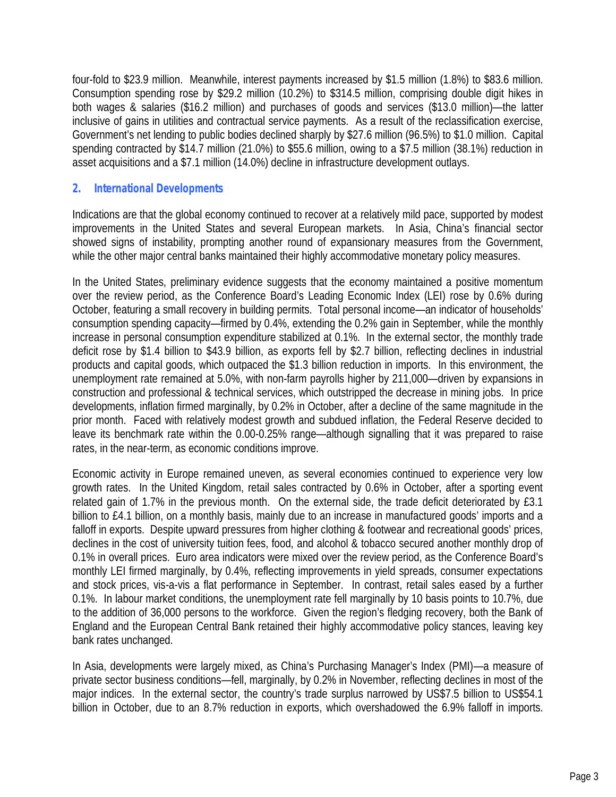four-fold to \$23.9 million. Meanwhile, interest payments increased by \$1.5 million (1.8%) to \$83.6 million. Consumption spending rose by \$29.2 million (10.2%) to \$314.5 million, comprising double digit hikes in both wages & salaries (\$16.2 million) and purchases of goods and services (\$13.0 million)—the latter inclusive of gains in utilities and contractual service payments. As a result of the reclassification exercise, Government's net lending to public bodies declined sharply by \$27.6 million (96.5%) to \$1.0 million. Capital spending contracted by \$14.7 million (21.0%) to \$55.6 million, owing to a \$7.5 million (38.1%) reduction in asset acquisitions and a \$7.1 million (14.0%) decline in infrastructure development outlays.

### *2. International Developments*

Indications are that the global economy continued to recover at a relatively mild pace, supported by modest improvements in the United States and several European markets. In Asia, China's financial sector showed signs of instability, prompting another round of expansionary measures from the Government, while the other major central banks maintained their highly accommodative monetary policy measures.

In the United States, preliminary evidence suggests that the economy maintained a positive momentum over the review period, as the Conference Board's Leading Economic Index (LEI) rose by 0.6% during October, featuring a small recovery in building permits. Total personal income—an indicator of households' consumption spending capacity—firmed by 0.4%, extending the 0.2% gain in September, while the monthly increase in personal consumption expenditure stabilized at 0.1%. In the external sector, the monthly trade deficit rose by \$1.4 billion to \$43.9 billion, as exports fell by \$2.7 billion, reflecting declines in industrial products and capital goods, which outpaced the \$1.3 billion reduction in imports. In this environment, the unemployment rate remained at 5.0%, with non-farm payrolls higher by 211,000—driven by expansions in construction and professional & technical services, which outstripped the decrease in mining jobs. In price developments, inflation firmed marginally, by 0.2% in October, after a decline of the same magnitude in the prior month. Faced with relatively modest growth and subdued inflation, the Federal Reserve decided to leave its benchmark rate within the 0.00-0.25% range—although signalling that it was prepared to raise rates, in the near-term, as economic conditions improve.

Economic activity in Europe remained uneven, as several economies continued to experience very low growth rates. In the United Kingdom, retail sales contracted by 0.6% in October, after a sporting event related gain of 1.7% in the previous month. On the external side, the trade deficit deteriorated by £3.1 billion to £4.1 billion, on a monthly basis, mainly due to an increase in manufactured goods' imports and a falloff in exports. Despite upward pressures from higher clothing & footwear and recreational goods' prices, declines in the cost of university tuition fees, food, and alcohol & tobacco secured another monthly drop of 0.1% in overall prices. Euro area indicators were mixed over the review period, as the Conference Board's monthly LEI firmed marginally, by 0.4%, reflecting improvements in yield spreads, consumer expectations and stock prices, vis-a-vis a flat performance in September. In contrast, retail sales eased by a further 0.1%. In labour market conditions, the unemployment rate fell marginally by 10 basis points to 10.7%, due to the addition of 36,000 persons to the workforce. Given the region's fledging recovery, both the Bank of England and the European Central Bank retained their highly accommodative policy stances, leaving key bank rates unchanged.

In Asia, developments were largely mixed, as China's Purchasing Manager's Index (PMI)—a measure of private sector business conditions—fell, marginally, by 0.2% in November, reflecting declines in most of the major indices. In the external sector, the country's trade surplus narrowed by US\$7.5 billion to US\$54.1 billion in October, due to an 8.7% reduction in exports, which overshadowed the 6.9% falloff in imports.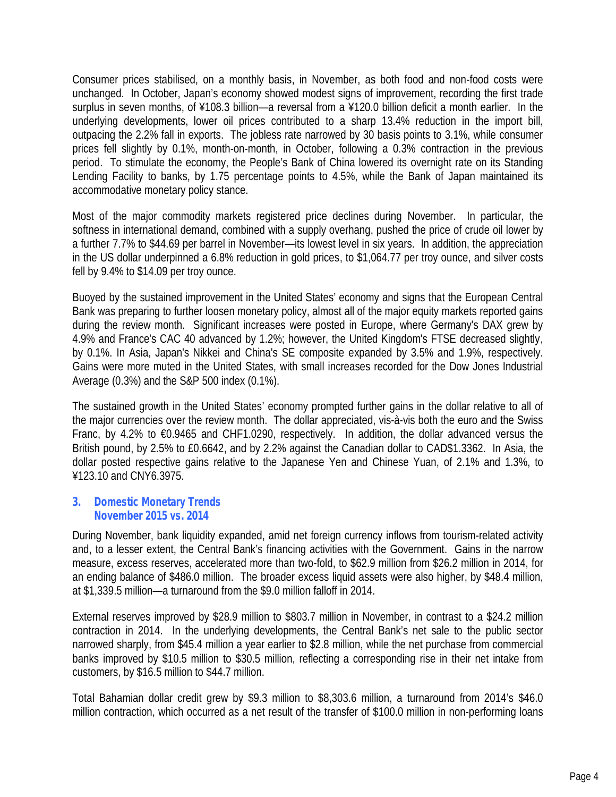Consumer prices stabilised, on a monthly basis, in November, as both food and non-food costs were unchanged. In October, Japan's economy showed modest signs of improvement, recording the first trade surplus in seven months, of ¥108.3 billion—a reversal from a ¥120.0 billion deficit a month earlier. In the underlying developments, lower oil prices contributed to a sharp 13.4% reduction in the import bill, outpacing the 2.2% fall in exports. The jobless rate narrowed by 30 basis points to 3.1%, while consumer prices fell slightly by 0.1%, month-on-month, in October, following a 0.3% contraction in the previous period. To stimulate the economy, the People's Bank of China lowered its overnight rate on its Standing Lending Facility to banks, by 1.75 percentage points to 4.5%, while the Bank of Japan maintained its accommodative monetary policy stance.

Most of the major commodity markets registered price declines during November. In particular, the softness in international demand, combined with a supply overhang, pushed the price of crude oil lower by a further 7.7% to \$44.69 per barrel in November—its lowest level in six years. In addition, the appreciation in the US dollar underpinned a 6.8% reduction in gold prices, to \$1,064.77 per troy ounce, and silver costs fell by 9.4% to \$14.09 per troy ounce.

Buoyed by the sustained improvement in the United States' economy and signs that the European Central Bank was preparing to further loosen monetary policy, almost all of the major equity markets reported gains during the review month. Significant increases were posted in Europe, where Germany's DAX grew by 4.9% and France's CAC 40 advanced by 1.2%; however, the United Kingdom's FTSE decreased slightly, by 0.1%. In Asia, Japan's Nikkei and China's SE composite expanded by 3.5% and 1.9%, respectively. Gains were more muted in the United States, with small increases recorded for the Dow Jones Industrial Average (0.3%) and the S&P 500 index (0.1%).

The sustained growth in the United States' economy prompted further gains in the dollar relative to all of the major currencies over the review month. The dollar appreciated, vis-à-vis both the euro and the Swiss Franc, by 4.2% to €0.9465 and CHF1.0290, respectively. In addition, the dollar advanced versus the British pound, by 2.5% to £0.6642, and by 2.2% against the Canadian dollar to CAD\$1.3362. In Asia, the dollar posted respective gains relative to the Japanese Yen and Chinese Yuan, of 2.1% and 1.3%, to ¥123.10 and CNY6.3975.

### *3. Domestic Monetary Trends November 2015 vs. 2014*

During November, bank liquidity expanded, amid net foreign currency inflows from tourism-related activity and, to a lesser extent, the Central Bank's financing activities with the Government. Gains in the narrow measure, excess reserves, accelerated more than two-fold, to \$62.9 million from \$26.2 million in 2014, for an ending balance of \$486.0 million. The broader excess liquid assets were also higher, by \$48.4 million, at \$1,339.5 million—a turnaround from the \$9.0 million falloff in 2014.

External reserves improved by \$28.9 million to \$803.7 million in November, in contrast to a \$24.2 million contraction in 2014. In the underlying developments, the Central Bank's net sale to the public sector narrowed sharply, from \$45.4 million a year earlier to \$2.8 million, while the net purchase from commercial banks improved by \$10.5 million to \$30.5 million, reflecting a corresponding rise in their net intake from customers, by \$16.5 million to \$44.7 million.

Total Bahamian dollar credit grew by \$9.3 million to \$8,303.6 million, a turnaround from 2014's \$46.0 million contraction, which occurred as a net result of the transfer of \$100.0 million in non-performing loans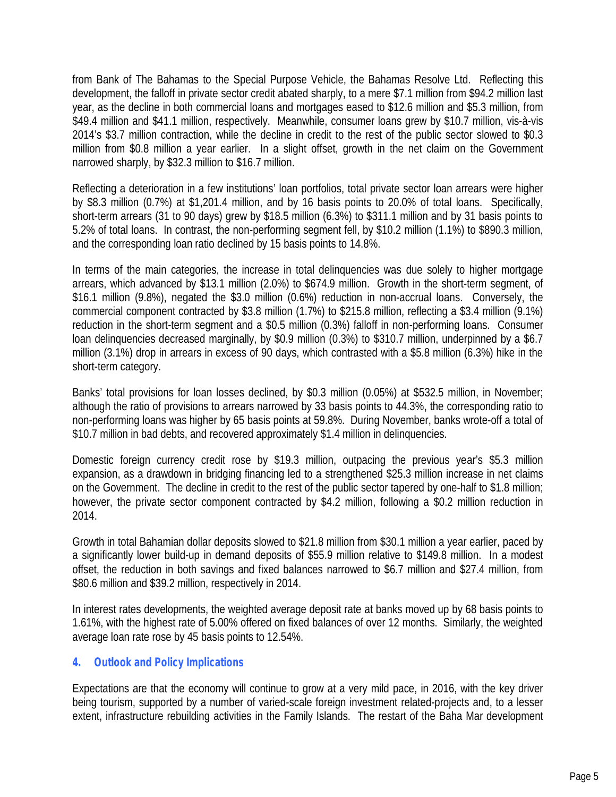from Bank of The Bahamas to the Special Purpose Vehicle, the Bahamas Resolve Ltd. Reflecting this development, the falloff in private sector credit abated sharply, to a mere \$7.1 million from \$94.2 million last year, as the decline in both commercial loans and mortgages eased to \$12.6 million and \$5.3 million, from \$49.4 million and \$41.1 million, respectively. Meanwhile, consumer loans grew by \$10.7 million, vis-à-vis 2014's \$3.7 million contraction, while the decline in credit to the rest of the public sector slowed to \$0.3 million from \$0.8 million a year earlier. In a slight offset, growth in the net claim on the Government narrowed sharply, by \$32.3 million to \$16.7 million.

Reflecting a deterioration in a few institutions' loan portfolios, total private sector loan arrears were higher by \$8.3 million (0.7%) at \$1,201.4 million, and by 16 basis points to 20.0% of total loans. Specifically, short-term arrears (31 to 90 days) grew by \$18.5 million (6.3%) to \$311.1 million and by 31 basis points to 5.2% of total loans. In contrast, the non-performing segment fell, by \$10.2 million (1.1%) to \$890.3 million, and the corresponding loan ratio declined by 15 basis points to 14.8%.

In terms of the main categories, the increase in total delinquencies was due solely to higher mortgage arrears, which advanced by \$13.1 million (2.0%) to \$674.9 million. Growth in the short-term segment, of \$16.1 million (9.8%), negated the \$3.0 million (0.6%) reduction in non-accrual loans. Conversely, the commercial component contracted by \$3.8 million (1.7%) to \$215.8 million, reflecting a \$3.4 million (9.1%) reduction in the short-term segment and a \$0.5 million (0.3%) falloff in non-performing loans. Consumer loan delinquencies decreased marginally, by \$0.9 million (0.3%) to \$310.7 million, underpinned by a \$6.7 million (3.1%) drop in arrears in excess of 90 days, which contrasted with a \$5.8 million (6.3%) hike in the short-term category.

Banks' total provisions for loan losses declined, by \$0.3 million (0.05%) at \$532.5 million, in November; although the ratio of provisions to arrears narrowed by 33 basis points to 44.3%, the corresponding ratio to non-performing loans was higher by 65 basis points at 59.8%. During November, banks wrote-off a total of \$10.7 million in bad debts, and recovered approximately \$1.4 million in delinquencies.

Domestic foreign currency credit rose by \$19.3 million, outpacing the previous year's \$5.3 million expansion, as a drawdown in bridging financing led to a strengthened \$25.3 million increase in net claims on the Government. The decline in credit to the rest of the public sector tapered by one-half to \$1.8 million; however, the private sector component contracted by \$4.2 million, following a \$0.2 million reduction in 2014.

Growth in total Bahamian dollar deposits slowed to \$21.8 million from \$30.1 million a year earlier, paced by a significantly lower build-up in demand deposits of \$55.9 million relative to \$149.8 million. In a modest offset, the reduction in both savings and fixed balances narrowed to \$6.7 million and \$27.4 million, from \$80.6 million and \$39.2 million, respectively in 2014.

In interest rates developments, the weighted average deposit rate at banks moved up by 68 basis points to 1.61%, with the highest rate of 5.00% offered on fixed balances of over 12 months. Similarly, the weighted average loan rate rose by 45 basis points to 12.54%.

# *4. Outlook and Policy Implications*

Expectations are that the economy will continue to grow at a very mild pace, in 2016, with the key driver being tourism, supported by a number of varied-scale foreign investment related-projects and, to a lesser extent, infrastructure rebuilding activities in the Family Islands. The restart of the Baha Mar development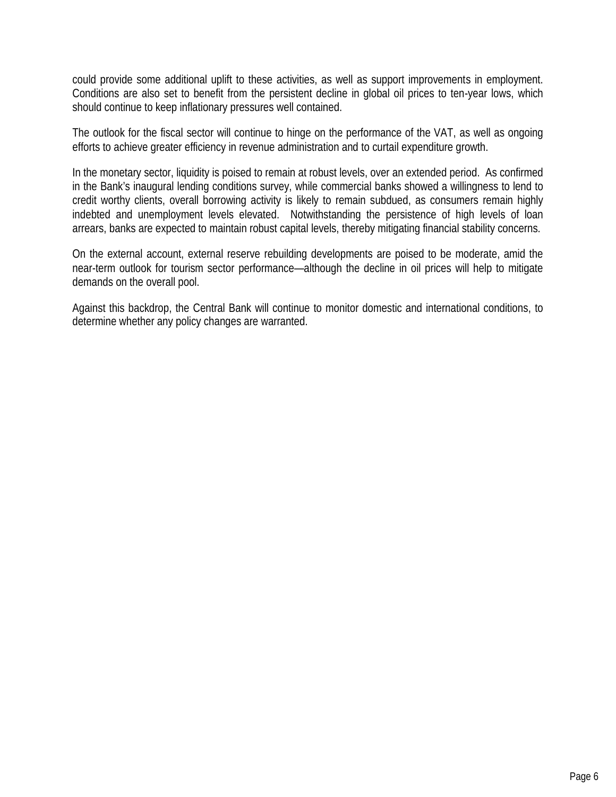could provide some additional uplift to these activities, as well as support improvements in employment. Conditions are also set to benefit from the persistent decline in global oil prices to ten-year lows, which should continue to keep inflationary pressures well contained.

The outlook for the fiscal sector will continue to hinge on the performance of the VAT, as well as ongoing efforts to achieve greater efficiency in revenue administration and to curtail expenditure growth.

In the monetary sector, liquidity is poised to remain at robust levels, over an extended period. As confirmed in the Bank's inaugural lending conditions survey, while commercial banks showed a willingness to lend to credit worthy clients, overall borrowing activity is likely to remain subdued, as consumers remain highly indebted and unemployment levels elevated. Notwithstanding the persistence of high levels of loan arrears, banks are expected to maintain robust capital levels, thereby mitigating financial stability concerns.

On the external account, external reserve rebuilding developments are poised to be moderate, amid the near-term outlook for tourism sector performance—although the decline in oil prices will help to mitigate demands on the overall pool.

Against this backdrop, the Central Bank will continue to monitor domestic and international conditions, to determine whether any policy changes are warranted.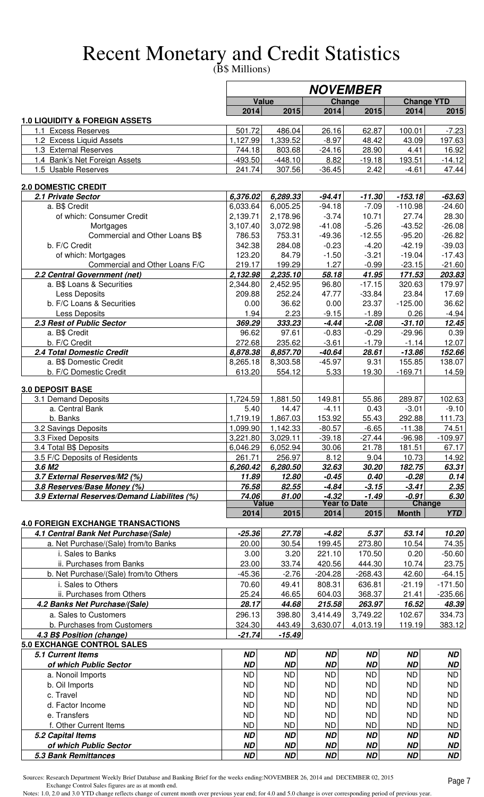# Recent Monetary and Credit Statistics

(B\$ Millions)

|                                                                  |                    |                      |                 | <b>NOVEMBER</b>             |                      |                             |
|------------------------------------------------------------------|--------------------|----------------------|-----------------|-----------------------------|----------------------|-----------------------------|
|                                                                  |                    | <b>Value</b>         |                 | Change                      | <b>Change YTD</b>    |                             |
|                                                                  | 2014               | 2015                 | 2014            | 2015                        | 2014                 | 2015                        |
| <b>1.0 LIQUIDITY &amp; FOREIGN ASSETS</b><br>1.1 Excess Reserves | 501.72             | 486.04               | 26.16           | 62.87                       | 100.01               | $-7.23$                     |
| 1.2 Excess Liquid Assets                                         | 1,127.99           | 1,339.52             | $-8.97$         | 48.42                       | 43.09                | 197.63                      |
| 1.3 External Reserves                                            | 744.18             | 803.68               | $-24.16$        | 28.90                       | 4.41                 | 16.92                       |
| 1.4 Bank's Net Foreign Assets                                    | $-493.50$          | $-448.10$            | 8.82            | $-19.18$                    | 193.51               | $-14.12$                    |
| 1.5 Usable Reserves                                              | 241.74             | 307.56               | $-36.45$        | 2.42                        | $-4.61$              | 47.44                       |
| <b>2.0 DOMESTIC CREDIT</b>                                       |                    |                      |                 |                             |                      |                             |
| 2.1 Private Sector                                               | 6,376.02           | 6,289.33             | $-94.41$        | $-11.30$                    | $-153.18$            | $-63.63$                    |
| a. B\$ Credit                                                    | 6,033.64           | 6,005.25             | $-94.18$        | $-7.09$                     | $-110.98$            | $-24.60$                    |
| of which: Consumer Credit                                        | 2,139.71           | 2,178.96             | $-3.74$         | 10.71                       | 27.74                | 28.30                       |
| Mortgages                                                        | 3,107.40           | 3,072.98             | $-41.08$        | $-5.26$                     | $-43.52$             | $-26.08$                    |
| Commercial and Other Loans B\$                                   | 786.53             | 753.31               | $-49.36$        | $-12.55$                    | $-95.20$             | $-26.82$                    |
| b. F/C Credit                                                    | 342.38             | 284.08               | $-0.23$         | $-4.20$                     | $-42.19$             | $-39.03$                    |
| of which: Mortgages<br>Commercial and Other Loans F/C            | 123.20<br>219.17   | 84.79<br>199.29      | $-1.50$<br>1.27 | $-3.21$<br>$-0.99$          | $-19.04$<br>$-23.15$ | $-17.43$<br>$-21.60$        |
| 2.2 Central Government (net)                                     | 2,132.98           | 2,235.10             | 58.18           | 41.95                       | 171.53               | 203.83                      |
| a. B\$ Loans & Securities                                        | 2,344.80           | 2,452.95             | 96.80           | $-17.15$                    | 320.63               | 179.97                      |
| Less Deposits                                                    | 209.88             | 252.24               | 47.77           | $-33.84$                    | 23.84                | 17.69                       |
| b. F/C Loans & Securities                                        | 0.00               | 36.62                | 0.00            | 23.37                       | $-125.00$            | 36.62                       |
| Less Deposits                                                    | 1.94               | 2.23                 | $-9.15$         | $-1.89$                     | 0.26                 | $-4.94$                     |
| 2.3 Rest of Public Sector                                        | 369.29             | 333.23               | $-4.44$         | $-2.08$                     | $-31.10$             | 12.45                       |
| a. B\$ Credit                                                    | 96.62              | 97.61                | $-0.83$         | $-0.29$                     | $-29.96$             | 0.39                        |
| b. F/C Credit                                                    | 272.68             | 235.62               | $-3.61$         | $-1.79$                     | $-1.14$              | 12.07                       |
| 2.4 Total Domestic Credit                                        | 8,878.38           | 8,857.70             | $-40.64$        | 28.61                       | $-13.86$             | 152.66                      |
| a. B\$ Domestic Credit<br>b. F/C Domestic Credit                 | 8,265.18<br>613.20 | 8,303.58             | $-45.97$        | 9.31                        | 155.85               | 138.07                      |
|                                                                  |                    | 554.12               | 5.33            | 19.30                       | $-169.71$            | 14.59                       |
| <b>3.0 DEPOSIT BASE</b>                                          |                    |                      |                 |                             |                      |                             |
| 3.1 Demand Deposits                                              | 1,724.59           | 1,881.50             | 149.81          | 55.86                       | 289.87               | 102.63                      |
| a. Central Bank                                                  | 5.40               | 14.47                | $-4.11$         | 0.43                        | $-3.01$              | $-9.10$                     |
| b. Banks                                                         | 1,719.19           | 1,867.03             | 153.92          | 55.43                       | 292.88               | 111.73                      |
| 3.2 Savings Deposits                                             | 1,099.90           | 1,142.33             | $-80.57$        | $-6.65$                     | $-11.38$             | 74.51                       |
| 3.3 Fixed Deposits                                               | 3,221.80           | 3,029.11             | $-39.18$        | $-27.44$                    | $-96.98$             | $-109.97$                   |
| 3.4 Total B\$ Deposits                                           | 6,046.29<br>261.71 | 6,052.94<br>256.97   | 30.06<br>8.12   | 21.78<br>9.04               | 181.51<br>10.73      | 67.17<br>14.92              |
| 3.5 F/C Deposits of Residents<br>3.6 M <sub>2</sub>              | 6,260.42           | 6,280.50             | 32.63           | 30.20                       | 182.75               | 63.31                       |
| 3.7 External Reserves/M2 (%)                                     | 11.89              | 12.80                | $-0.45$         | 0.40                        | $-0.28$              | 0.14                        |
| 3.8 Reserves/Base Money (%)                                      | 76.58              | 82.55                | $-4.84$         | $-3.15$                     | $-3.41$              | 2.35                        |
| 3.9 External Reserves/Demand Liabilites (%)                      | 74.06              | 81.00                | $-4.32$         | $-1.49$                     | $-0.91$              | 6.30                        |
|                                                                  | 2014               | <b>Value</b><br>2015 | 2014            | <b>Year to Date</b><br>2015 | <b>Month</b>         | <b>Change</b><br><b>YTD</b> |
| <b>4.0 FOREIGN EXCHANGE TRANSACTIONS</b>                         |                    |                      |                 |                             |                      |                             |
| 4.1 Central Bank Net Purchase/(Sale)                             | $-25.36$           | 27.78                | $-4.82$         | 5.37                        | 53.14                | 10.20                       |
| a. Net Purchase/(Sale) from/to Banks                             | 20.00              | 30.54                | 199.45          | 273.80                      | 10.54                | 74.35                       |
| i. Sales to Banks                                                | 3.00               | 3.20                 | 221.10          | 170.50                      | 0.20                 | $-50.60$                    |
| ii. Purchases from Banks                                         | 23.00              | 33.74                | 420.56          | 444.30                      | 10.74                | 23.75                       |
| b. Net Purchase/(Sale) from/to Others                            | $-45.36$           | $-2.76$              | $-204.28$       | $-268.43$                   | 42.60                | $-64.15$                    |
| i. Sales to Others                                               | 70.60              | 49.41                | 808.31          | 636.81                      | $-21.19$             | $-171.50$                   |
| ii. Purchases from Others                                        | 25.24              | 46.65                | 604.03          | 368.37                      | 21.41                | $-235.66$                   |
| 4.2 Banks Net Purchase/(Sale)                                    | 28.17              | 44.68                | 215.58          | 263.97                      | 16.52                | 48.39                       |
| a. Sales to Customers                                            | 296.13             | 398.80               | 3,414.49        | 3,749.22                    | 102.67               | 334.73                      |
| b. Purchases from Customers                                      | 324.30             | 443.49               | 3,630.07        | 4,013.19                    | 119.19               | 383.12                      |
| 4.3 B\$ Position (change)<br><b>5.0 EXCHANGE CONTROL SALES</b>   | $-21.74$           | $-15.49$             |                 |                             |                      |                             |
| 5.1 Current Items                                                | <b>ND</b>          | <b>ND</b>            | <b>ND</b>       | <b>ND</b>                   | <b>ND</b>            | <b>ND</b>                   |
| of which Public Sector                                           | <b>ND</b>          | <b>ND</b>            | <b>ND</b>       | <b>ND</b>                   | <b>ND</b>            | <b>ND</b>                   |
| a. Nonoil Imports                                                | <b>ND</b>          | <b>ND</b>            | <b>ND</b>       | <b>ND</b>                   | <b>ND</b>            | <b>ND</b>                   |
| b. Oil Imports                                                   | <b>ND</b>          | <b>ND</b>            | <b>ND</b>       | <b>ND</b>                   | <b>ND</b>            | <b>ND</b>                   |
| c. Travel                                                        | <b>ND</b>          | <b>ND</b>            | <b>ND</b>       | <b>ND</b>                   | <b>ND</b>            | <b>ND</b>                   |
| d. Factor Income                                                 | <b>ND</b>          | <b>ND</b>            | <b>ND</b>       | <b>ND</b>                   | <b>ND</b>            | <b>ND</b>                   |
| e. Transfers                                                     | <b>ND</b>          | <b>ND</b>            | <b>ND</b>       | <b>ND</b>                   | <b>ND</b>            | <b>ND</b>                   |
| f. Other Current Items                                           | <b>ND</b>          | <b>ND</b>            | <b>ND</b>       | <b>ND</b>                   | <b>ND</b>            | <b>ND</b>                   |
| 5.2 Capital Items                                                | <b>ND</b>          | <b>ND</b>            | <b>ND</b>       | <b>ND</b>                   | <b>ND</b>            | <b>ND</b>                   |
| of which Public Sector                                           | <b>ND</b>          | <b>ND</b>            | <b>ND</b>       | <b>ND</b>                   | <b>ND</b>            | <b>ND</b>                   |
| <b>5.3 Bank Remittances</b>                                      | <b>ND</b>          | <b>ND</b>            | <b>ND</b>       | <b>ND</b>                   | <b>ND</b>            | <b>ND</b>                   |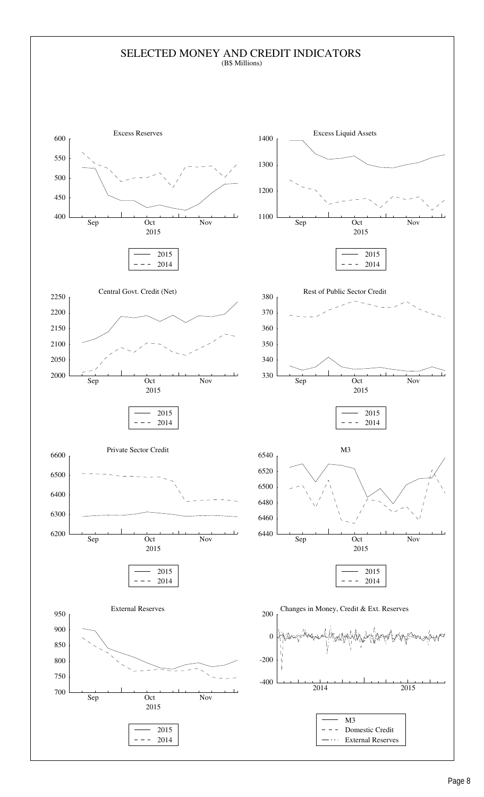#### SELECTED MONEY AND CREDIT INDICATORS (B\$ Millions)

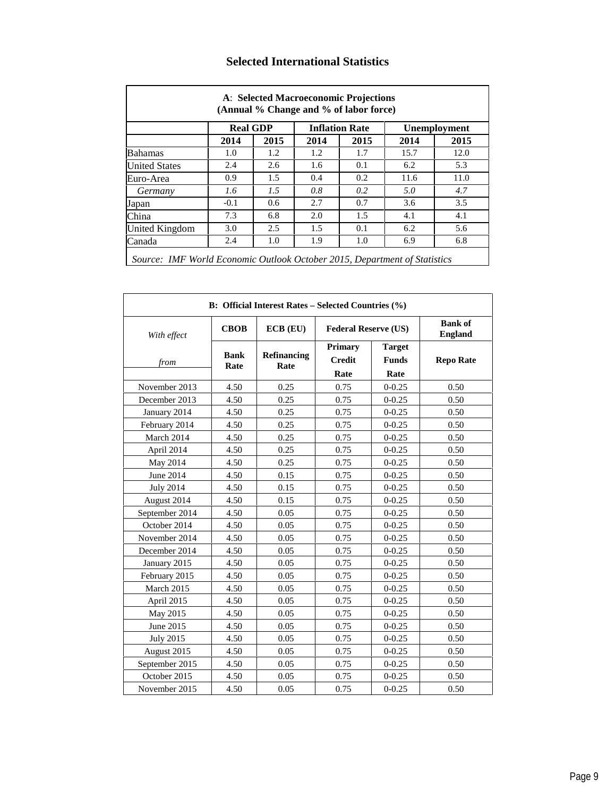|                      | <b>Real GDP</b> |               |      | <b>Inflation Rate</b> |      | <b>Unemployment</b> |
|----------------------|-----------------|---------------|------|-----------------------|------|---------------------|
|                      | 2014            | 2015          | 2014 | 2015                  | 2014 | 2015                |
| Bahamas              | 1.0             | 1.2           | 1.2  | 1.7                   | 15.7 | 12.0                |
| <b>United States</b> | 2.4             | 2.6           | 1.6  | 0.1                   | 6.2  | 5.3                 |
| Euro-Area            | 0.9             | 1.5           | 0.4  | $0.2^{\circ}$         | 11.6 | 11.0                |
| Germany              | 1.6             | 1.5           | 0.8  | 0.2                   | 5.0  | 4.7                 |
| Japan                | $-0.1$          | $0.6^{\circ}$ | 2.7  | 0.7                   | 3.6  | 3.5                 |
| China                | 7.3             | 6.8           | 2.0  | 1.5                   | 4.1  | 4.1                 |
| United Kingdom       | 3.0             | 2.5           | 1.5  | 0.1                   | 6.2  | 5.6                 |
| Canada               | 2.4             | 1.0           | 1.9  | 1.0                   | 6.9  | 6.8                 |

# **Selected International Statistics**

| With effect      | <b>CBOB</b>         | ECB (EU)                   | <b>Federal Reserve (US)</b>             |                                       | <b>Bank of</b><br><b>England</b> |
|------------------|---------------------|----------------------------|-----------------------------------------|---------------------------------------|----------------------------------|
| from             | <b>Bank</b><br>Rate | <b>Refinancing</b><br>Rate | <b>Primary</b><br><b>Credit</b><br>Rate | <b>Target</b><br><b>Funds</b><br>Rate | <b>Repo Rate</b>                 |
| November 2013    | 4.50                | 0.25                       | 0.75                                    | $0 - 0.25$                            | 0.50                             |
| December 2013    | 4.50                | 0.25                       | 0.75                                    | $0 - 0.25$                            | 0.50                             |
| January 2014     | 4.50                | 0.25                       | 0.75                                    | $0 - 0.25$                            | 0.50                             |
| February 2014    | 4.50                | 0.25                       | 0.75                                    | $0 - 0.25$                            | 0.50                             |
| March 2014       | 4.50                | 0.25                       | 0.75                                    | $0 - 0.25$                            | 0.50                             |
| April 2014       | 4.50                | 0.25                       | 0.75                                    | $0 - 0.25$                            | 0.50                             |
| May 2014         | 4.50                | 0.25                       | 0.75                                    | $0 - 0.25$                            | 0.50                             |
| June 2014        | 4.50                | 0.15                       | 0.75                                    | $0 - 0.25$                            | 0.50                             |
| <b>July 2014</b> | 4.50                | 0.15                       | 0.75                                    | $0 - 0.25$                            | 0.50                             |
| August 2014      | 4.50                | 0.15                       | 0.75                                    | $0 - 0.25$                            | 0.50                             |
| September 2014   | 4.50                | 0.05                       | 0.75                                    | $0 - 0.25$                            | 0.50                             |
| October 2014     | 4.50                | 0.05                       | 0.75                                    | $0 - 0.25$                            | 0.50                             |
| November 2014    | 4.50                | 0.05                       | 0.75                                    | $0 - 0.25$                            | 0.50                             |
| December 2014    | 4.50                | 0.05                       | 0.75                                    | $0 - 0.25$                            | 0.50                             |
| January 2015     | 4.50                | 0.05                       | 0.75                                    | $0 - 0.25$                            | 0.50                             |
| February 2015    | 4.50                | 0.05                       | 0.75                                    | $0 - 0.25$                            | 0.50                             |
| March 2015       | 4.50                | 0.05                       | 0.75                                    | $0 - 0.25$                            | 0.50                             |
| April 2015       | 4.50                | 0.05                       | 0.75                                    | $0 - 0.25$                            | 0.50                             |
| May 2015         | 4.50                | 0.05                       | 0.75                                    | $0 - 0.25$                            | 0.50                             |
| June 2015        | 4.50                | 0.05                       | 0.75                                    | $0 - 0.25$                            | 0.50                             |
| <b>July 2015</b> | 4.50                | 0.05                       | 0.75                                    | $0 - 0.25$                            | 0.50                             |
| August 2015      | 4.50                | 0.05                       | 0.75                                    | $0 - 0.25$                            | 0.50                             |
| September 2015   | 4.50                | 0.05                       | 0.75                                    | $0 - 0.25$                            | 0.50                             |
| October 2015     | 4.50                | 0.05                       | 0.75                                    | $0 - 0.25$                            | 0.50                             |
| November 2015    | 4.50                | 0.05                       | 0.75                                    | $0 - 0.25$                            | 0.50                             |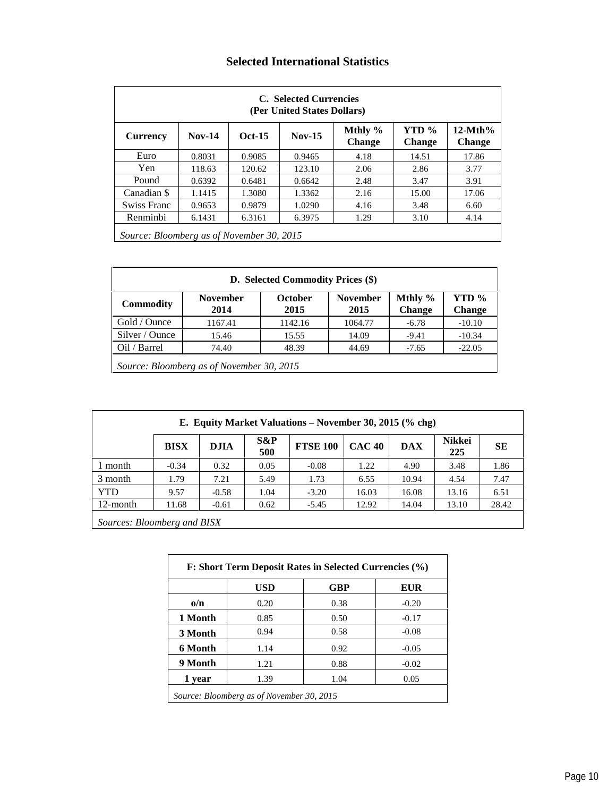## **Selected International Statistics**

|                                           |          |               | C. Selected Currencies<br>(Per United States Dollars) |                          |                        |                            |
|-------------------------------------------|----------|---------------|-------------------------------------------------------|--------------------------|------------------------|----------------------------|
| <b>Currency</b>                           | $Nov-14$ | <b>Oct-15</b> | $Nov-15$                                              | Mthly %<br><b>Change</b> | YTD %<br><b>Change</b> | $12-Mth%$<br><b>Change</b> |
| Euro                                      | 0.8031   | 0.9085        | 0.9465                                                | 4.18                     | 14.51                  | 17.86                      |
| Yen                                       | 118.63   | 120.62        | 123.10                                                | 2.06                     | 2.86                   | 3.77                       |
| Pound                                     | 0.6392   | 0.6481        | 0.6642                                                | 2.48                     | 3.47                   | 3.91                       |
| Canadian \$                               | 1.1415   | 1.3080        | 1.3362                                                | 2.16                     | 15.00                  | 17.06                      |
| Swiss Franc                               | 0.9653   | 0.9879        | 1.0290                                                | 4.16                     | 3.48                   | 6.60                       |
| Renminbi                                  | 6.1431   | 6.3161        | 6.3975                                                | 1.29                     | 3.10                   | 4.14                       |
| Source: Bloomberg as of November 30, 2015 |          |               |                                                       |                          |                        |                            |

|                  |                                           | D. Selected Commodity Prices (\$) |                         |                             |                        |
|------------------|-------------------------------------------|-----------------------------------|-------------------------|-----------------------------|------------------------|
| <b>Commodity</b> | <b>November</b><br>2014                   | <b>October</b><br>2015            | <b>November</b><br>2015 | Mthly $\%$<br><b>Change</b> | YTD %<br><b>Change</b> |
| Gold / Ounce     | 1167.41                                   | 1142.16                           | 1064.77                 | $-6.78$                     | $-10.10$               |
| Silver / Ounce   | 15.46                                     | 15.55                             | 14.09                   | $-9.41$                     | $-10.34$               |
| Oil / Barrel     | 74.40                                     | 48.39                             | 44.69                   | $-7.65$                     | $-22.05$               |
|                  | Source: Bloomberg as of November 30, 2015 |                                   |                         |                             |                        |

|             | <b>BISX</b> | <b>DJIA</b> | S&P<br>500 | <b>FTSE 100</b> | CAC40 | <b>DAX</b> | Nikkei<br>225 | SЕ    |
|-------------|-------------|-------------|------------|-----------------|-------|------------|---------------|-------|
| 1 month     | $-0.34$     | 0.32        | 0.05       | $-0.08$         | 1.22  | 4.90       | 3.48          | 1.86  |
| 3 month     | 1.79        | 7.21        | 5.49       | 1.73            | 6.55  | 10.94      | 4.54          | 7.47  |
| <b>YTD</b>  | 9.57        | $-0.58$     | 1.04       | $-3.20$         | 16.03 | 16.08      | 13.16         | 6.51  |
| $12$ -month | 11.68       | $-0.61$     | 0.62       | $-5.45$         | 12.92 | 14.04      | 13.10         | 28.42 |

|                         | <b>USD</b> | <b>GBP</b> | EUR     |
|-------------------------|------------|------------|---------|
| $\mathbf{0}/\mathbf{n}$ | 0.20       | 0.38       | $-0.20$ |
| 1 Month                 | 0.85       | 0.50       | $-0.17$ |
| 3 Month                 | 0.94       | 0.58       | $-0.08$ |
| 6 Month                 | 1.14       | 0.92       | $-0.05$ |
| 9 Month                 | 1.21       | 0.88       | $-0.02$ |
| 1 year                  | 1.39       | 1.04       | 0.05    |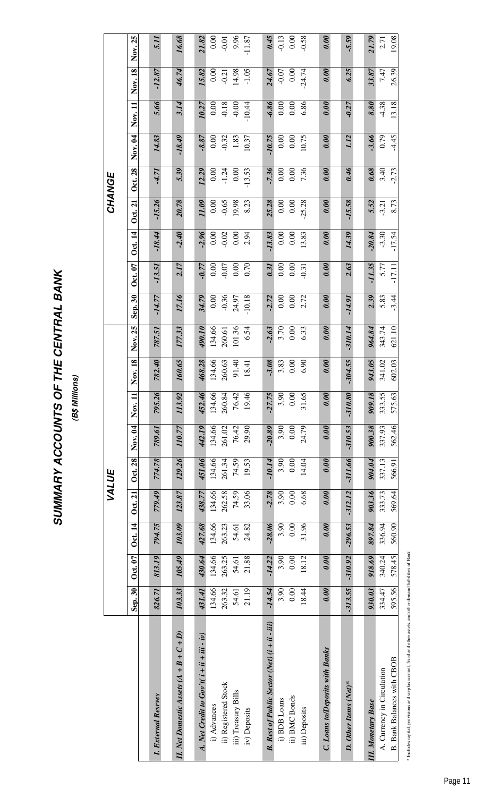SUMMARY ACCOUNTS OF THE CENTRAL BANK **SUMMARY ACCOUNTS OF THE CENTRAL BANK**

(B\$ Millions) **(B\$ Millions)**

|                                                  |           |           |                | VALUE          |           |           |           |           |           |          |          |                |            | CHANGE   |          |          |          |          |
|--------------------------------------------------|-----------|-----------|----------------|----------------|-----------|-----------|-----------|-----------|-----------|----------|----------|----------------|------------|----------|----------|----------|----------|----------|
|                                                  | Sep. 30   | Oct. 07   | <b>Oct.</b> 14 | <b>Oct. 21</b> | Oct. 28   | Nov. 04   | Nov. 11   | Nov. 18   | Nov. 25   | Sep. 30  | Oct.07   | <b>Oct. 14</b> | $0$ ct. 21 | Oct. 28  | Nov. 04  | Nov. 11  | Nov. 18  | Nov. 25  |
|                                                  |           |           |                |                |           |           |           |           |           |          |          |                |            |          |          |          |          |          |
| cternal Resrves<br>叼                             | 826.71    | 813.19    | 794.75         | 779.49         | 774.78    | 789.61    | 795.26    | 782.40    | 787.51    | $-14.77$ | $-13.51$ | $-18.44$       | $-15.26$   | $-4.71$  | 14.83    | 5.66     | $-12.87$ | 5.11     |
| II. Net Domestic Assets $(A + B + C + D)$        | 103.33    | 105.49    | 103.09         | 123.87         | 129.26    | 110.77    | 113.92    | 160.65    | 177.33    | 17.16    | 2.17     | $-2.40$        | 20.78      | 5.39     | $-18.49$ | 3.14     | 46.74    | 16.68    |
| Net Credit to $Gov^{\prime}t(i + ii + iii - iv)$ | 431.41    | 430.64    | 427.68         | 438.77         | 451.06    | 442.19    | 452.46    | 468.28    | 490.10    | 34.79    | $-0.77$  | $-2.96$        | 11.09      | 12.29    | $-8.87$  | 10.27    | 15.82    | 21.82    |
| i) Advances                                      | 134.66    | 134.66    | 134.66         | 134.66         | 134.66    | 134.66    | 134.66    | 134.66    | 134.66    | 0.00     | 0.00     | 0.00           | 0.00       | 0.00     | 0.00     | 0.00     | 0.00     | 0.00     |
| i) Registered Stock                              | 263.32    | 263.25    | 263.23         | 262.58         | 261.34    | 261.02    | 260.84    | 260.63    | 260.61    | $-0.36$  | $-0.07$  | $-0.02$        | $-0.65$    | $-1.24$  | $-0.32$  | $-0.18$  | $-0.21$  | $-0.01$  |
| i) Treasury Bills                                | 54.61     | 54.61     | 54.61          | 74.59          | 74.59     | 76.42     | 76.42     | 91.40     | 101.36    | 24.97    | 0.00     | 0.00           | 19.98      | 0.00     | 1.83     | $-0.00$  | 14.98    | 9.96     |
| iv) Deposits                                     | 21.19     | 21.88     | 24.82          | 33.06          | 19.53     | 29.90     | 19.46     | 18.41     | 6.54      | $-10.18$ | 0.70     | 2.94           | 8.23       | $-13.53$ | 10.37    | $-10.44$ | $-1.05$  | $-11.87$ |
|                                                  |           |           |                |                |           |           |           |           |           |          |          |                |            |          |          |          |          |          |
| Rest of Public Sector (Net) (i + ii - iii)<br>B. | $-14.54$  | $-14.22$  | $-28.06$       | $-2.78$        | $-10.14$  | $-20.89$  | $-27.75$  | $-3.08$   | $-2.63$   | $-2.72$  | 0.31     | $-13.83$       | 25.28      | $-7.36$  | $-10.75$ | $-6.86$  | 24.67    | 0.45     |
| i) BDB Loans                                     | 3.90      | 3.90      | 3.90           | 3.90           | 3.90      | 3.90      | 3.90      | 3.83      | 3.70      | 0.00     | 0.00     | 0.00           | 0.00       | 0.00     | 0.00     | 0.00     | $-0.07$  | $-0.13$  |
| i) BMC Bonds                                     | 0.00      | 0.00      | 0.00           | 0.00           | 0.00      | 0.00      | 0.00      | 0.00      | 0.00      | 0.00     | 0.00     | 0.00           | 0.00       | 0.00     | 0.00     | 0.00     | 0.00     | 0.00     |
| i) Deposits                                      | 18.44     | 18.12     | 31.96          | 6.68           | 14.04     | 24.79     | 31.65     | 6.90      | 6.33      | 2.72     | $-0.31$  | 13.83          | $-25.28$   | 7.36     | 10.75    | 6.86     | $-24.74$ | $-0.58$  |
|                                                  |           |           |                |                |           |           |           |           |           |          |          |                |            |          |          |          |          |          |
| <b>Loans to/Deposits with Banks</b><br>ئ         | 0.00      | 0.00      | 0.00           | 0.00           | 0.00      | 0.00      | 0.00      | 0.00      | 0.00      | 0.00     | 0.00     | 0.00           | 0.00       | 0.00     | 0.00     | 0.00     | 0.00     | 0.00     |
|                                                  |           |           |                |                |           |           |           |           |           |          |          |                |            |          |          |          |          |          |
| Other Items (Net)*                               | $-313.55$ | $-310.92$ | $-296.53$      | $-312.12$      | $-311.66$ | $-310.53$ | $-310.80$ | $-304.55$ | $-310.14$ | $-14.91$ | 2.63     | 14.39          | $-15.58$   | 0.46     | 1.12     | $-0.27$  | 6.25     | $-5.59$  |
|                                                  |           |           |                |                |           |           |           |           |           |          |          |                |            |          |          |          |          |          |
| onetary Base<br>M. M                             | 930.03    | 918.69    | 897.84         | 903.36         | 904.04    | 900.38    | 909.18    | 943.05    | 964.84    | 2.39     | $-11.35$ | $-20.84$       | 5.52       | 0.68     | $-3.66$  | 8.80     | 33.87    | 21.79    |
| Currency in Circulation<br>$\dot{\mathcal{A}}$   | 334.47    | 340.24    | 336.94         | 333.73         | 337.13    | 337.93    | 333.55    | 341.02    | 343.74    | 5.83     | 5.77     | $-3.30$        | $-3.21$    | 3.40     | 0.79     | $-4.38$  | 7.47     | 2.71     |
| Bank Balances with CBOB<br>$\dot{a}$             | 595.56    | 578.45    | 560.90         | 569.64         | 566.91    | 562.46    | 575.63    | 602.03    | 621.10    | $-3.44$  | $-17.11$ | $-17.54$       | 8.73       | $-2.73$  | $-4.45$  | 13.18    | 26.39    | 19.08    |
|                                                  |           |           |                |                |           |           |           |           |           |          |          |                |            |          |          |          |          |          |

\* Includes capital, provisions and surplus account, fixed and other assets, and other demand liabilities of Bank \* Includes capital, provisions and surplus account, fixed and other assets, and other demand liabilities of Bank